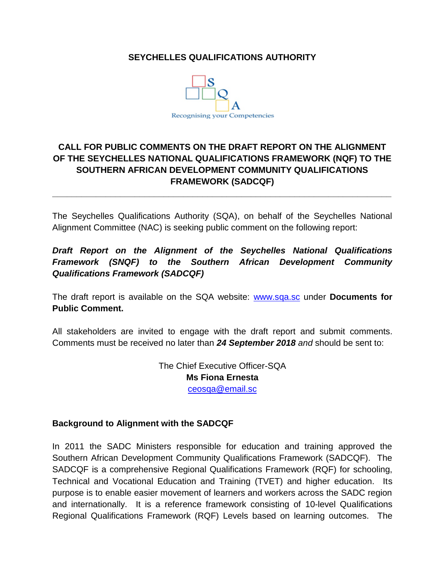#### **SEYCHELLES QUALIFICATIONS AUTHORITY**



## **CALL FOR PUBLIC COMMENTS ON THE DRAFT REPORT ON THE ALIGNMENT OF THE SEYCHELLES NATIONAL QUALIFICATIONS FRAMEWORK (NQF) TO THE SOUTHERN AFRICAN DEVELOPMENT COMMUNITY QUALIFICATIONS FRAMEWORK (SADCQF)**

The Seychelles Qualifications Authority (SQA), on behalf of the Seychelles National Alignment Committee (NAC) is seeking public comment on the following report:

**\_\_\_\_\_\_\_\_\_\_\_\_\_\_\_\_\_\_\_\_\_\_\_\_\_\_\_\_\_\_\_\_\_\_\_\_\_\_\_\_\_\_\_\_\_\_\_\_\_\_\_\_\_\_\_\_\_\_\_\_\_\_\_\_\_\_\_\_\_\_**

## *Draft Report on the Alignment of the Seychelles National Qualifications Framework (SNQF) to the Southern African Development Community Qualifications Framework (SADCQF)*

The draft report is available on the SQA website: [www.sqa.sc](http://www.sqa.sc/) under **Documents for Public Comment.** 

All stakeholders are invited to engage with the draft report and submit comments. Comments must be received no later than *24 September 2018 and* should be sent to:

> The Chief Executive Officer-SQA **Ms Fiona Ernesta** [ceosqa@email.sc](mailto:ceosqa@email.sc)

#### **Background to Alignment with the SADCQF**

In 2011 the SADC Ministers responsible for education and training approved the Southern African Development Community Qualifications Framework (SADCQF). The SADCQF is a comprehensive Regional Qualifications Framework (RQF) for schooling, Technical and Vocational Education and Training (TVET) and higher education. Its purpose is to enable easier movement of learners and workers across the SADC region and internationally. It is a reference framework consisting of 10-level Qualifications Regional Qualifications Framework (RQF) Levels based on learning outcomes. The